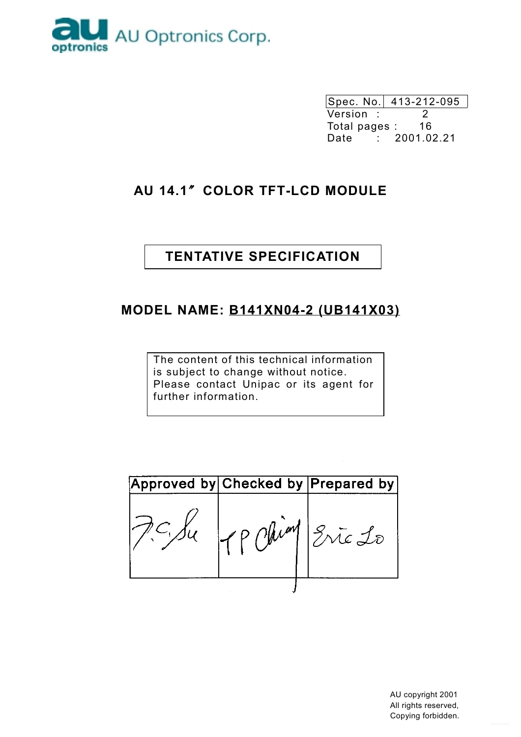

Spec. No. 413-212-095 Version :  $\overline{2}$ Total pages : 16 Date : 2001.02.21

# AU 14.1" COLOR TFT-LCD MODULE

# **TENTATIVE SPECIFICATION**

# **MODEL NAME: B141XN04-2 (UB141X03)**

The content of this technical information is subject to change without notice. Please contact Unipac or its agent for further information.

|           | Approved by Checked by Prepared by |
|-----------|------------------------------------|
| ' P phim. | Ente 10                            |
|           |                                    |

AU copyright 2001 All rights reserved, Copying forbidden.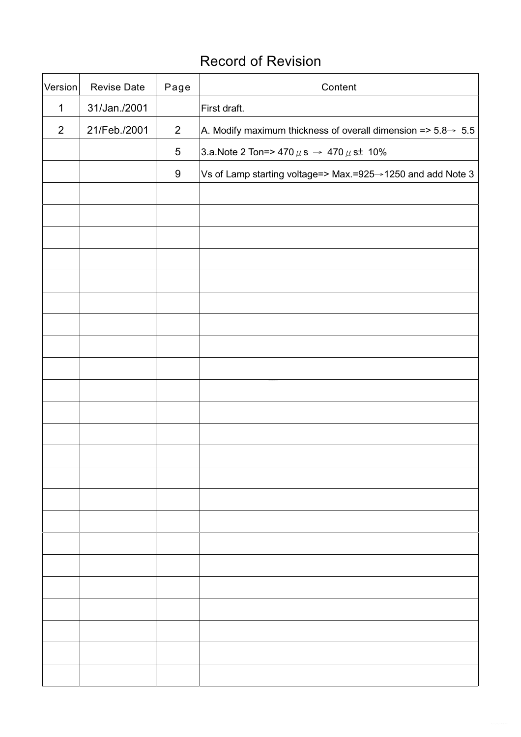# **Record of Revision**

| Version        | <b>Revise Date</b> | Page             | Content                                                                    |
|----------------|--------------------|------------------|----------------------------------------------------------------------------|
| $\mathbf 1$    | 31/Jan./2001       |                  | First draft.                                                               |
| $\overline{2}$ | 21/Feb./2001       | $\overline{2}$   | A. Modify maximum thickness of overall dimension => $5.8\rightarrow 5.5$   |
|                |                    | $\sqrt{5}$       | 3.a.Note 2 Ton=> 470 $\mu$ s → 470 $\mu$ s <sup><math>\pm</math></sup> 10% |
|                |                    | $\boldsymbol{9}$ | Vs of Lamp starting voltage=> Max.=925→1250 and add Note 3                 |
|                |                    |                  |                                                                            |
|                |                    |                  |                                                                            |
|                |                    |                  |                                                                            |
|                |                    |                  |                                                                            |
|                |                    |                  |                                                                            |
|                |                    |                  |                                                                            |
|                |                    |                  |                                                                            |
|                |                    |                  |                                                                            |
|                |                    |                  |                                                                            |
|                |                    |                  |                                                                            |
|                |                    |                  |                                                                            |
|                |                    |                  |                                                                            |
|                |                    |                  |                                                                            |
|                |                    |                  |                                                                            |
|                |                    |                  |                                                                            |
|                |                    |                  |                                                                            |
|                |                    |                  |                                                                            |
|                |                    |                  |                                                                            |
|                |                    |                  |                                                                            |
|                |                    |                  |                                                                            |
|                |                    |                  |                                                                            |
|                |                    |                  |                                                                            |
|                |                    |                  |                                                                            |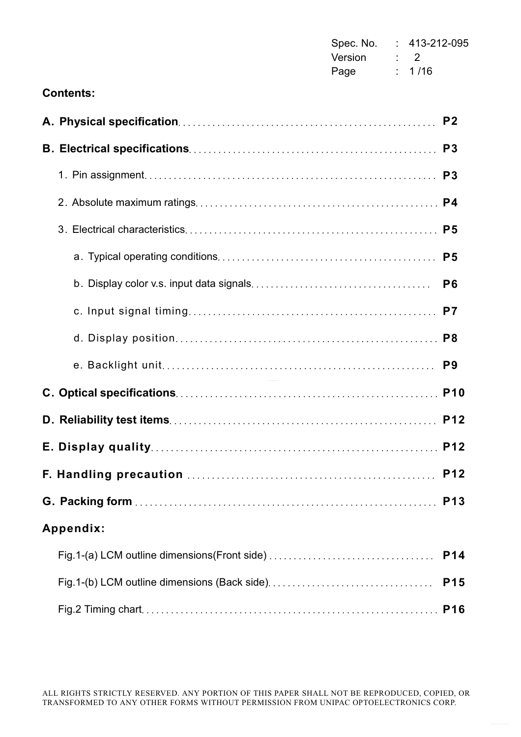| Spec. No. | 413-212-095             |
|-----------|-------------------------|
| Version   | $\cdot$ $\cdot$ $\cdot$ |
| Page      | : 1/16                  |

### **Contents:**

|                                               | P <sub>2</sub>  |
|-----------------------------------------------|-----------------|
|                                               | P <sub>3</sub>  |
|                                               | P <sub>3</sub>  |
|                                               |                 |
|                                               | P <sub>5</sub>  |
|                                               | P <sub>5</sub>  |
|                                               | P <sub>6</sub>  |
|                                               | P <sub>7</sub>  |
|                                               | P <sub>8</sub>  |
|                                               | P <sub>9</sub>  |
|                                               | <b>P10</b>      |
|                                               | <b>P12</b>      |
|                                               | <b>P12</b>      |
|                                               | <b>P12</b>      |
|                                               | P <sub>13</sub> |
| Appendix:                                     |                 |
| Fig.1-(a) LCM outline dimensions (Front side) | P <sub>14</sub> |
|                                               | <b>P15</b>      |
|                                               | <b>P16</b>      |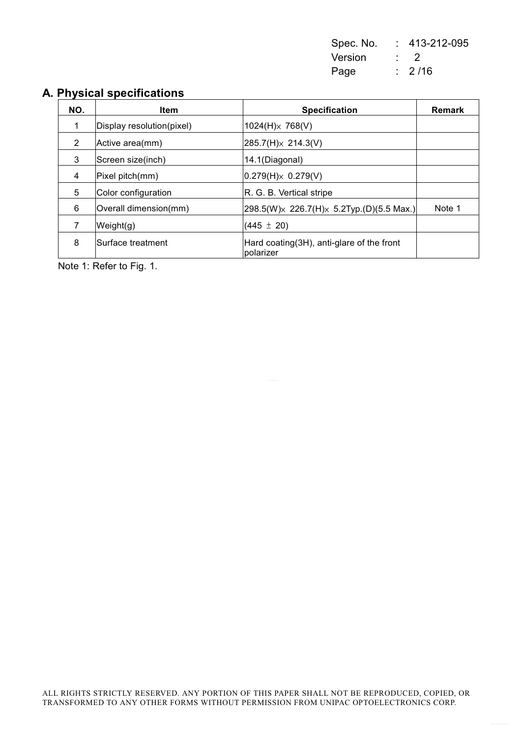| Spec. No. | 413-212-095       |
|-----------|-------------------|
| Version   | $\cdot$ 2         |
| Page      | $\frac{1}{2}$ /16 |

### A. Physical specifications

| NO. | <b>Item</b>               | <b>Specification</b>                                    | <b>Remark</b> |
|-----|---------------------------|---------------------------------------------------------|---------------|
| 1   | Display resolution(pixel) | $1024(H) \times 768(V)$                                 |               |
| 2   | Active area(mm)           | $285.7(H) \times 214.3(V)$                              |               |
| 3   | Screen size(inch)         | 14.1(Diagonal)                                          |               |
| 4   | Pixel pitch(mm)           | $0.279(H) \times 0.279(V)$                              |               |
| 5   | Color configuration       | R. G. B. Vertical stripe                                |               |
| 6   | Overall dimension(mm)     | $[298.5(W)\times 226.7(H)\times 5.2$ Typ.(D)(5.5 Max.)  | Note 1        |
| 7   | Weight(g)                 | $(445 \pm 20)$                                          |               |
| 8   | Surface treatment         | Hard coating (3H), anti-glare of the front<br>polarizer |               |

Note 1: Refer to Fig. 1.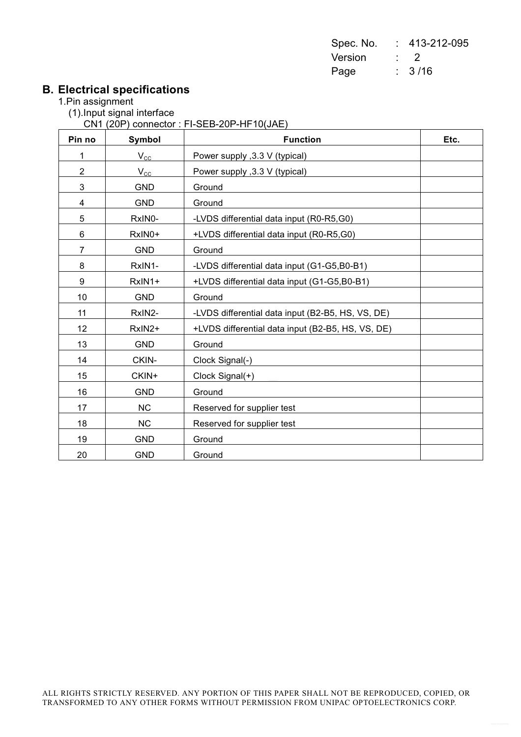| Spec. No. | 413-212-095    |
|-----------|----------------|
| Version   | $\overline{z}$ |
| Page      | : 3/16         |

# **B. Electrical specifications**<br>1.Pin assignment

- - (1).Input signal interface

CN1 (20P) connector : FI-SEB-20P-HF10(JAE)

| Pin no         | Symbol       | <b>Function</b>                                   | Etc. |
|----------------|--------------|---------------------------------------------------|------|
| 1              | $V_{\rm CC}$ | Power supply , 3.3 V (typical)                    |      |
| $\overline{c}$ | $V_{\rm CC}$ | Power supply , 3.3 V (typical)                    |      |
| 3              | <b>GND</b>   | Ground                                            |      |
| 4              | <b>GND</b>   | Ground                                            |      |
| 5              | RxIN0-       | -LVDS differential data input (R0-R5,G0)          |      |
| 6              | RxIN0+       | +LVDS differential data input (R0-R5,G0)          |      |
| $\overline{7}$ | <b>GND</b>   | Ground                                            |      |
| 8              | RxIN1-       | -LVDS differential data input (G1-G5,B0-B1)       |      |
| 9              | RxIN1+       | +LVDS differential data input (G1-G5,B0-B1)       |      |
| 10             | <b>GND</b>   | Ground                                            |      |
| 11             | RxIN2-       | -LVDS differential data input (B2-B5, HS, VS, DE) |      |
| 12             | RxIN2+       | +LVDS differential data input (B2-B5, HS, VS, DE) |      |
| 13             | <b>GND</b>   | Ground                                            |      |
| 14             | CKIN-        | Clock Signal(-)                                   |      |
| 15             | CKIN+        | Clock Signal(+)                                   |      |
| 16             | <b>GND</b>   | Ground                                            |      |
| 17             | <b>NC</b>    | Reserved for supplier test                        |      |
| 18             | NC           | Reserved for supplier test                        |      |
| 19             | <b>GND</b>   | Ground                                            |      |
| 20             | <b>GND</b>   | Ground                                            |      |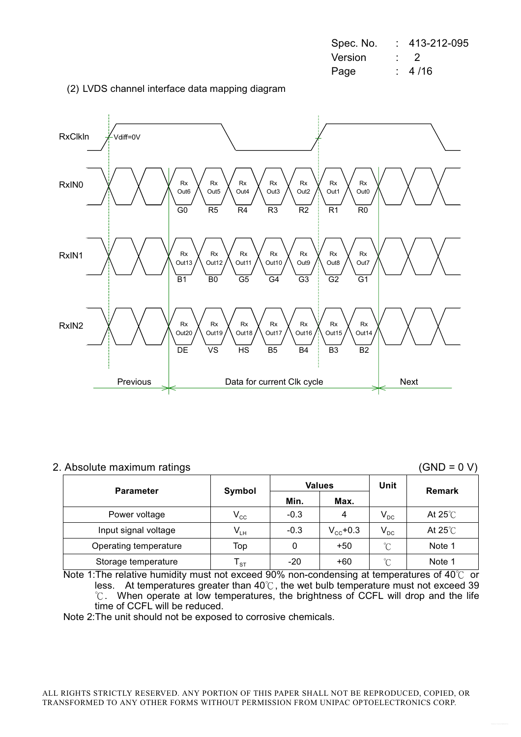| Spec. No. | 413-212-095 |
|-----------|-------------|
| Version   | $\cdot$ 2   |
| Page      | 4 / 16      |

(2) LVDS channel interface data mapping diagram



### 2. Absolute maximum ratings

 $(GND = 0 V)$ 

| <b>Parameter</b>      | Symbol                     | <b>Values</b> |                   | Unit            | <b>Remark</b>     |
|-----------------------|----------------------------|---------------|-------------------|-----------------|-------------------|
|                       |                            | Min.          | Max.              |                 |                   |
| Power voltage         | $V_{\rm CC}$               | $-0.3$        | 4                 | $V_{DC}$        | At 25 $\degree$ C |
| Input signal voltage  | $V_{LH}$                   | $-0.3$        | $V_{\rm cc}$ +0.3 | $V_{DC}$        | At $25^{\circ}$ C |
| Operating temperature | Top                        |               | $+50$             | $\rm ^{\circ}C$ | Note 1            |
| Storage temperature   | $\mathsf{T}_{\texttt{ST}}$ | $-20$         | $+60$             | °C              | Note 1            |

Note 1: The relative humidity must not exceed 90% non-condensing at temperatures of 40°C or less. At temperatures greater than 40°C, the wet bulb temperature must not exceed 39 °C. When operate at low temperatures, the brightness of CCFL will drop and the life time of CCFL will be reduced.

Note 2: The unit should not be exposed to corrosive chemicals.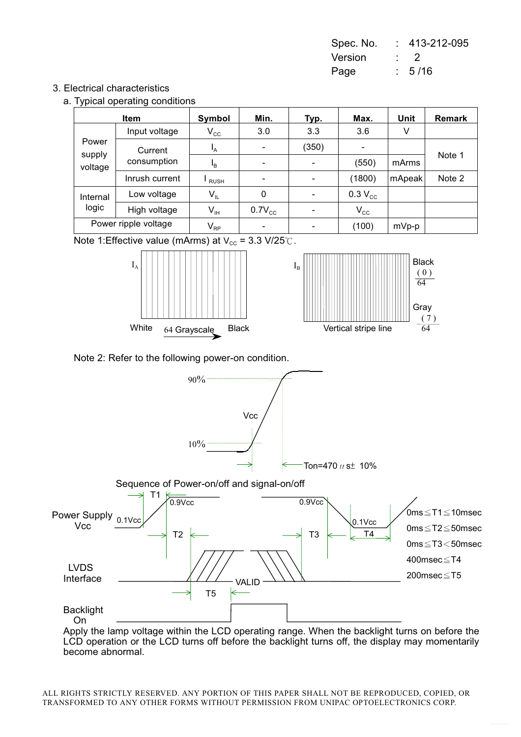| Spec. No. | 413-212-095 |
|-----------|-------------|
| Version   | $\cdot$ 2   |
| Page      | : 5/16      |

### 3. Electrical characteristics

a. Typical operating conditions

|                            | <b>Item</b>          | Symbol                     | Min.        | Typ.                     | Max.                     | Unit    | <b>Remark</b> |
|----------------------------|----------------------|----------------------------|-------------|--------------------------|--------------------------|---------|---------------|
| Power<br>supply<br>voltage | Input voltage        | $V_{\rm CC}$               | 3.0         | 3.3                      | 3.6                      | ٧       |               |
|                            | Current              | $I_A$                      |             | (350)                    | $\overline{\phantom{0}}$ |         |               |
|                            | consumption          | I <sub>B</sub>             |             | $\overline{\phantom{a}}$ | (550)                    | mArms   | Note 1        |
|                            | Inrush current       | <b>RUSH</b>                |             | $\overline{\phantom{a}}$ | (1800)                   | mApeak  | Note 2        |
| Internal<br>logic          | Low voltage          | $V_{IL}$                   | 0           | $\blacksquare$           | $0.3 V_{cc}$             |         |               |
|                            | High voltage         | $\mathsf{V}_{\mathsf{IH}}$ | $0.7V_{cc}$ | $\overline{\phantom{a}}$ | $V_{\rm CC}$             |         |               |
|                            | Power ripple voltage | $\mathsf{V}_{\mathsf{RP}}$ |             |                          | (100)                    | $mVp-p$ |               |

Note 1: Effective value (mArms) at  $V_{cc}$  = 3.3 V/25°C.









Apply the lamp voltage within the LCD operating range. When the backlight turns on before the LCD operation or the LCD turns off before the backlight turns off, the display may momentarily become abnormal.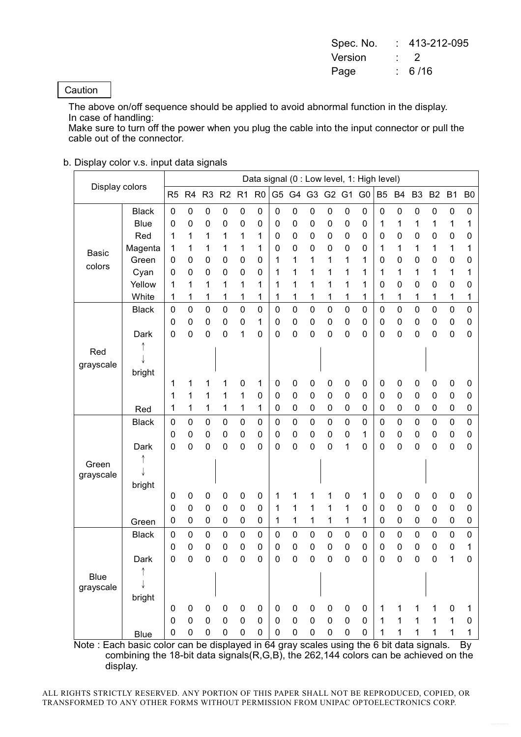| Spec. No. | 413-212-095 |
|-----------|-------------|
| Version   | $\cdot$ )   |
| Page      | : 6/16      |

### Caution

The above on/off sequence should be applied to avoid abnormal function in the display. In case of handling:

Make sure to turn off the power when you plug the cable into the input connector or pull the cable out of the connector.

### b. Display color v.s. input data signals

| Display colors |              |                |                       |                  |                       |                  |                |                  |                  |                  |                     |                  | Data signal (0 : Low level, 1: High level) |                |                        |                  |                  |                  |                |
|----------------|--------------|----------------|-----------------------|------------------|-----------------------|------------------|----------------|------------------|------------------|------------------|---------------------|------------------|--------------------------------------------|----------------|------------------------|------------------|------------------|------------------|----------------|
|                |              | R <sub>5</sub> | R <sub>4</sub>        | R <sub>3</sub>   | R2                    | R <sub>1</sub>   | R <sub>0</sub> | G <sub>5</sub>   | G4               | G <sub>3</sub>   | G <sub>2</sub>      | G <sub>1</sub>   | G <sub>0</sub>                             | B <sub>5</sub> | <b>B4</b>              | B <sub>3</sub>   | B <sub>2</sub>   | B <sub>1</sub>   | B <sub>0</sub> |
|                | <b>Black</b> | $\mathbf 0$    | $\mathbf 0$           | 0                | 0                     | $\mathbf 0$      | $\mathbf 0$    | $\mathbf 0$      | 0                | $\boldsymbol{0}$ | 0                   | $\boldsymbol{0}$ | 0                                          | $\mathbf 0$    | $\boldsymbol{0}$       | $\mathbf 0$      | $\boldsymbol{0}$ | 0                | 0              |
|                | <b>Blue</b>  | 0              | 0                     | 0                | 0                     | $\mathbf 0$      | $\mathbf 0$    | $\mathbf 0$      | 0                | 0                | $\mathbf 0$         | 0                | $\mathbf 0$                                | 1              | 1                      | 1                | 1                | 1                | 1              |
|                | Red          | 1              | 1                     | 1                | 1                     | 1                | 1              | $\mathbf 0$      | 0                | 0                | 0                   | 0                | $\mathbf 0$                                | 0              | $\pmb{0}$              | 0                | 0                | 0                | 0              |
| <b>Basic</b>   | Magenta      | 1              | 1                     | 1                | 1                     | 1                | 1              | 0                | 0                | $\boldsymbol{0}$ | 0                   | 0                | 0                                          | 1              | 1                      | 1                | 1                | 1                | 1              |
| colors         | Green        | 0              | 0                     | 0                | $\mathbf 0$           | $\mathbf 0$      | $\mathbf 0$    | 1                | 1                | 1                | 1                   | 1                | 1                                          | 0              | $\mathbf 0$            | 0                | 0                | $\mathbf 0$      | 0              |
|                | Cyan         | 0              | 0                     | 0                | 0                     | 0                | 0              | 1                | 1                | 1                | 1                   | 1                | 1                                          | 1              | 1                      | 1                | 1                | 1                | 1              |
|                | Yellow       | 1              | 1                     | 1                | 1                     | 1                | 1              | 1                | 1                | 1                | 1                   | 1                | 1                                          | 0              | $\mathbf 0$            | 0                | 0                | 0                | 0              |
|                | White        | 1              | 1                     | 1                | 1                     | 1                | 1              | 1                | 1                | 1                | 1                   | 1                | 1                                          | 1              | 1                      | 1                | 1                | 1                | 1              |
|                | <b>Black</b> | $\mathbf 0$    | 0                     | $\mathbf 0$      | $\mathbf 0$           | $\mathbf 0$      | $\mathbf 0$    | $\mathbf 0$      | 0                | $\mathsf 0$      | $\mathsf{O}\xspace$ | $\mathbf 0$      | $\mathbf 0$                                | 0              | $\mathbf 0$            | $\mathbf 0$      | $\mathbf 0$      | $\mathbf 0$      | $\mathbf 0$    |
|                |              | 0              | $\boldsymbol{0}$      | 0                | 0                     | 0                | 1              | $\pmb{0}$        | $\boldsymbol{0}$ | $\pmb{0}$        | $\pmb{0}$           | 0                | $\mathbf 0$                                | 0              | $\pmb{0}$              | 0                | $\mathbf 0$      | $\boldsymbol{0}$ | 0              |
|                | Dark         | 0              | 0                     | 0                | 0                     | 1                | $\mathbf 0$    | $\mathbf 0$      | 0                | 0                | $\mathbf 0$         | 0                | $\mathbf 0$                                | 0              | $\mathbf 0$            | $\mathbf 0$      | 0                | $\mathbf 0$      | $\mathbf 0$    |
| Red            |              |                |                       |                  |                       |                  |                |                  |                  |                  |                     |                  |                                            |                |                        |                  |                  |                  |                |
| grayscale      |              |                |                       |                  |                       |                  |                |                  |                  |                  |                     |                  |                                            |                |                        |                  |                  |                  |                |
|                | bright       |                |                       |                  |                       |                  |                |                  |                  |                  |                     |                  |                                            |                |                        |                  |                  |                  |                |
|                |              | 1              | 1                     | 1                | 1                     | 0                | 1              | 0                | 0                | 0                | 0                   | 0                | $\mathbf 0$                                | 0              | 0                      | 0                | $\mathbf 0$      | 0                | 0              |
|                |              | 1              | 1                     | 1                | 1                     | 1                | $\mathbf 0$    | $\mathbf 0$      | $\boldsymbol{0}$ | $\mathbf 0$      | 0                   | 0                | $\mathbf 0$                                | 0              | $\mathbf 0$            | 0                | $\mathbf 0$      | 0                | 0              |
|                | Red          | 1              | 1                     | 1                | 1                     | 1                | 1              | $\mathbf 0$      | 0                | $\boldsymbol{0}$ | 0                   | 0                | $\mathbf 0$                                | 0              | $\pmb{0}$              | $\mathbf 0$      | $\boldsymbol{0}$ | $\mathbf 0$      | 0              |
|                | <b>Black</b> | $\mathbf 0$    | $\pmb{0}$             | $\pmb{0}$        | 0                     | $\mathbf 0$      | $\mathbf 0$    | $\mathbf 0$      | 0                | $\pmb{0}$        | $\mathbf 0$         | $\mathbf 0$      | $\mathbf 0$                                | 0              | $\boldsymbol{0}$       | $\mathbf 0$      | $\mathbf 0$      | $\pmb{0}$        | $\pmb{0}$      |
|                |              | 0              | 0                     | 0                | 0                     | 0                | $\mathbf 0$    | $\mathbf 0$      | 0                | 0                | $\mathbf 0$         | 0                | 1                                          | 0              | $\pmb{0}$              | 0                | $\mathbf 0$      | 0                | 0              |
|                | Dark         | 0              | 0                     | 0                | 0                     | $\mathbf 0$      | 0              | 0                | 0                | 0                | 0                   | 1                | $\mathbf 0$                                | 0              | $\mathbf 0$            | $\mathbf 0$      | $\mathbf 0$      | $\mathbf 0$      | $\mathbf 0$    |
| Green          |              |                |                       |                  |                       |                  |                |                  |                  |                  |                     |                  |                                            |                |                        |                  |                  |                  |                |
| grayscale      |              |                |                       |                  |                       |                  |                |                  |                  |                  |                     |                  |                                            |                |                        |                  |                  |                  |                |
|                | bright       |                |                       |                  |                       |                  | $\mathbf 0$    |                  |                  |                  |                     |                  |                                            |                |                        |                  |                  |                  |                |
|                |              | 0<br>0         | 0<br>$\boldsymbol{0}$ | 0<br>$\mathbf 0$ | 0<br>$\boldsymbol{0}$ | 0<br>$\mathbf 0$ | $\mathbf 0$    | 1                | 1<br>1           | 1<br>1           | 1<br>1              | 0<br>1           | 1<br>0                                     | 0<br>0         | $\pmb{0}$<br>$\pmb{0}$ | 0<br>$\mathbf 0$ | 0<br>$\mathbf 0$ | 0<br>$\mathbf 0$ | 0<br>0         |
|                |              | 0              | $\pmb{0}$             | 0                | $\boldsymbol{0}$      | 0                | $\mathbf 0$    | 1<br>1           | 1                | 1                | 1                   | 1                | 1                                          | 0              | $\pmb{0}$              | 0                | $\pmb{0}$        | $\mathbf 0$      | 0              |
|                | Green        |                |                       |                  |                       |                  |                |                  |                  |                  |                     |                  |                                            |                |                        |                  |                  |                  |                |
|                | <b>Black</b> | $\mathbf 0$    | $\boldsymbol{0}$      | 0                | 0                     | $\mathbf 0$      | $\pmb{0}$      | $\pmb{0}$        | 0                | 0                | 0                   | $\mathbf 0$      | 0                                          | 0              | $\pmb{0}$              | $\mathbf 0$      | $\mathbf 0$      | $\mathbf 0$      | $\pmb{0}$      |
|                |              | 0              | 0                     | 0                | 0                     | 0                | 0              | 0                | 0                | 0                | 0                   | 0                | 0                                          | 0              | 0                      | 0                | 0                | 0                | 1              |
|                | Dark         | 0              | 0                     | 0                | 0                     | 0                | 0              | 0                | 0                | 0                | 0                   | 0                | 0                                          | 0              | $\mathbf 0$            | 0                | 0                | 1                | 0              |
| <b>Blue</b>    |              |                |                       |                  |                       |                  |                |                  |                  |                  |                     |                  |                                            |                |                        |                  |                  |                  |                |
| grayscale      |              |                |                       |                  |                       |                  |                |                  |                  |                  |                     |                  |                                            |                |                        |                  |                  |                  |                |
|                | bright       | $\pmb{0}$      | 0                     | 0                | 0                     | $\mathbf 0$      | $\mathbf 0$    | 0                | 0                | 0                | $\pmb{0}$           | 0                | 0                                          | 1              | 1                      | 1                | $\mathbf{1}$     | 0                | 1              |
|                |              | $\mathbf 0$    | $\boldsymbol{0}$      | $\pmb{0}$        | $\mathbf 0$           | $\pmb{0}$        | $\pmb{0}$      | $\boldsymbol{0}$ | $\mathbf 0$      | $\mathbf 0$      | $\mathbf 0$         | $\pmb{0}$        | $\pmb{0}$                                  | 1              | $\mathbf 1$            | $\mathbf{1}$     | $\mathbf 1$      | $\mathbf 1$      | 0              |
|                |              | 0              | 0                     | 0                | 0                     | 0                | $\mathbf 0$    | $\mathbf 0$      | 0                | $\pmb{0}$        | 0                   | 0                | 0                                          | 1              | 1                      | 1                | 1                | 1                | 1              |
|                | <b>Blue</b>  |                |                       |                  |                       |                  |                |                  |                  |                  |                     |                  |                                            |                |                        |                  |                  |                  |                |

Note: Each basic color can be displayed in 64 gray scales using the 6 bit data signals. By combining the 18-bit data signals (R, G, B), the 262, 144 colors can be achieved on the display.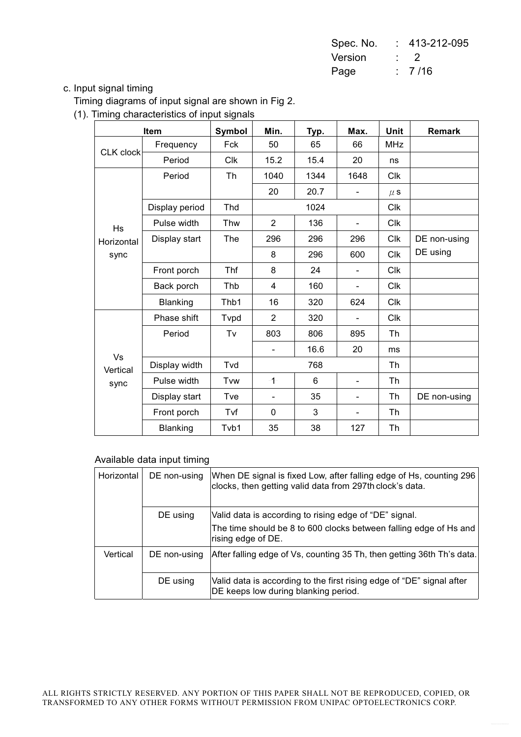| Spec. No. | $: 413 - 212 - 095$ |
|-----------|---------------------|
| Version   | $\cdot$ 2           |
| Page      | : 7/16              |

### c. Input signal timing

Timing diagrams of input signal are shown in Fig 2.

(1). Timing characteristics of input signals

|                  | <b>Item</b>    | Symbol | Min.                     | Typ. | Max.                         | <b>Unit</b> | <b>Remark</b> |
|------------------|----------------|--------|--------------------------|------|------------------------------|-------------|---------------|
|                  | Frequency      | Fck    | 50                       | 65   | 66                           | <b>MHz</b>  |               |
| <b>CLK</b> clock | Period         | Clk    | 15.2                     | 15.4 | 20                           | ns          |               |
|                  | Period         | Th     | 1040                     | 1344 | 1648                         | <b>CIK</b>  |               |
|                  |                |        | 20                       | 20.7 | $\overline{\phantom{0}}$     | $\mu$ S     |               |
|                  | Display period | Thd    |                          | 1024 |                              | <b>Clk</b>  |               |
| Hs               | Pulse width    | Thw    | 2                        | 136  | $\blacksquare$               | <b>Clk</b>  |               |
| Horizontal       | Display start  | The    | 296                      | 296  | 296                          | <b>Clk</b>  | DE non-using  |
| sync             |                |        | 8                        | 296  | 600                          | <b>Clk</b>  | DE using      |
|                  | Front porch    | Thf    | 8                        | 24   |                              | <b>Clk</b>  |               |
|                  | Back porch     | Thb    | 4                        | 160  | $\overline{\phantom{a}}$     | <b>Clk</b>  |               |
|                  | Blanking       | Thb1   | 16                       | 320  | 624                          | <b>Clk</b>  |               |
|                  | Phase shift    | Tvpd   | 2                        | 320  |                              | <b>Clk</b>  |               |
|                  | Period         | Tv     | 803                      | 806  | 895                          | Th          |               |
| Vs               |                |        | $\overline{\phantom{a}}$ | 16.6 | 20                           | ms          |               |
| Vertical         | Display width  | Tvd    |                          | 768  |                              | Th          |               |
| sync             | Pulse width    | Tvw    | $\overline{1}$           | 6    |                              | Th          |               |
|                  | Display start  | Tve    | $\overline{\phantom{a}}$ | 35   | $\qquad \qquad \blacksquare$ | Th          | DE non-using  |
|                  | Front porch    | Tvf    | 0                        | 3    |                              | Th          |               |
|                  | Blanking       | Tvb1   | 35                       | 38   | 127                          | Th          |               |

### Available data input timing

| Horizontal | DE non-using | When DE signal is fixed Low, after falling edge of Hs, counting 296<br>clocks, then getting valid data from 297th clock's data.                   |
|------------|--------------|---------------------------------------------------------------------------------------------------------------------------------------------------|
|            | DE using     | Valid data is according to rising edge of "DE" signal.<br>The time should be 8 to 600 clocks between falling edge of Hs and<br>rising edge of DE. |
| Vertical   | DE non-using | After falling edge of Vs, counting 35 Th, then getting 36th Th's data.                                                                            |
|            | DE using     | Valid data is according to the first rising edge of "DE" signal after<br>DE keeps low during blanking period.                                     |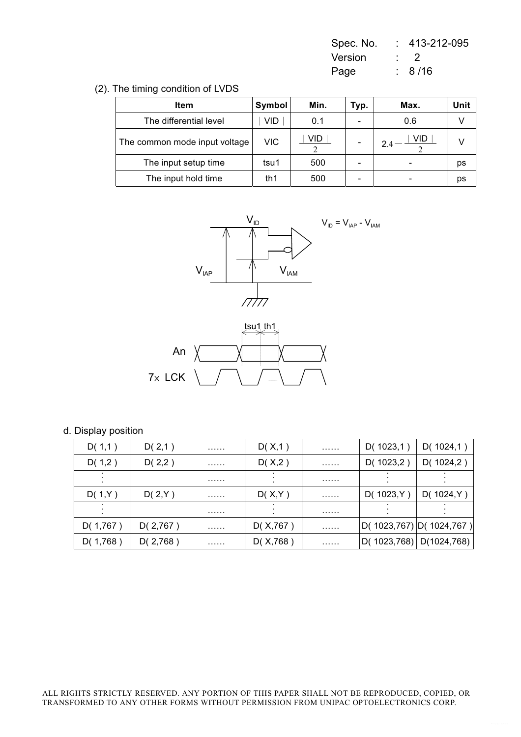| Spec. No. | 413-212-095 |
|-----------|-------------|
| Version   | ・・・         |
| Page      | : 8/16      |

### (2). The timing condition of LVDS

| ltem                          | Symbol | Min.       | Typ. | Max. | Unit |
|-------------------------------|--------|------------|------|------|------|
| The differential level        | VID    | 0.1        |      | 0.6  |      |
| The common mode input voltage | VIC    | <b>VID</b> |      | VID  |      |
| The input setup time          | tsu1   | 500        | -    |      | ps   |
| The input hold time           | th1    | 500        |      |      | рs   |





### d. Display position

| D(1,1)    | D(2,1)   | . | D(X,1)    | . | D(1023,1)     | D(1024,1)               |
|-----------|----------|---|-----------|---|---------------|-------------------------|
| D(1,2)    | D(2,2)   | . | D(X,2)    | . | D( $1023,2$ ) | D(1024,2)               |
|           |          | . |           | . |               |                         |
| D(1,Y)    | D(2,Y)   | . | D(X,Y)    | . | D(1023,Y)     | D(1024, Y)              |
|           |          | . |           | . |               |                         |
| D(1, 767) | D(2,767) | . | D(X, 767) |   |               | D(1023,767) D(1024,767) |
| D(1,768)  | D(2,768) | . | D(X, 768) | . | D(1023,768)   | D(1024, 768)            |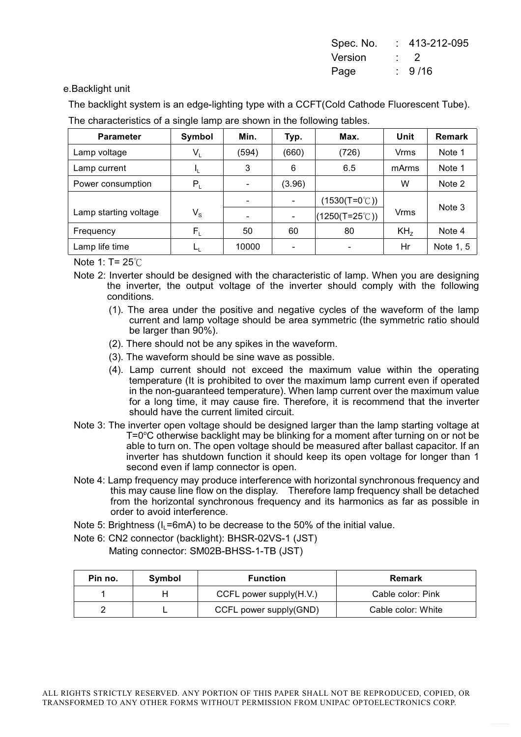| Spec. No. | 413-212-095 |
|-----------|-------------|
| Version   | $\cdot$ 2   |
| Page      | :9/16       |

e.Backlight unit

The backlight system is an edge-lighting type with a CCFT(Cold Cathode Fluorescent Tube). The characteristics of a single lamp are shown in the following tables.

| <b>Parameter</b>      | Symbol                    | Min.  | Typ.                         | Max.                           | Unit            | <b>Remark</b> |
|-----------------------|---------------------------|-------|------------------------------|--------------------------------|-----------------|---------------|
| Lamp voltage          | $V_L$                     | (594) | (660)                        | (726)                          | Vrms            | Note 1        |
| Lamp current          | IL.                       | 3     | 6                            | 6.5                            | mArms           | Note 1        |
| Power consumption     | $P_L$                     |       | (3.96)                       |                                | W               | Note 2        |
|                       |                           |       | $\overline{\phantom{0}}$     | $(1530(T=0^{\circ}C))$         |                 | Note 3        |
| Lamp starting voltage | $\mathsf{V}_{\mathsf{S}}$ |       | $\qquad \qquad \blacksquare$ | $(1250(T=25^{\circ}\text{C}))$ | Vrms            |               |
| Frequency             | $F_{\rm L}$               | 50    | 60                           | 80                             | KH <sub>7</sub> | Note 4        |
| Lamp life time        |                           | 10000 |                              |                                | Hr              | Note 1, 5     |

Note 1:  $T = 25^{\circ}$ C

- Note 2: Inverter should be designed with the characteristic of lamp. When you are designing the inverter, the output voltage of the inverter should comply with the following conditions.
	- (1). The area under the positive and negative cycles of the waveform of the lamp current and lamp voltage should be area symmetric (the symmetric ratio should be larger than 90%).
	- (2). There should not be any spikes in the waveform.
	- (3). The waveform should be sine wave as possible.
	- (4). Lamp current should not exceed the maximum value within the operating temperature (It is prohibited to over the maximum lamp current even if operated in the non-quaranteed temperature). When lamp current over the maximum value for a long time, it may cause fire. Therefore, it is recommend that the inverter should have the current limited circuit.
- Note 3: The inverter open voltage should be designed larger than the lamp starting voltage at T=0°C otherwise backlight may be blinking for a moment after turning on or not be able to turn on. The open voltage should be measured after ballast capacitor. If an inverter has shutdown function it should keep its open voltage for longer than 1 second even if lamp connector is open.
- Note 4: Lamp frequency may produce interference with horizontal synchronous frequency and this may cause line flow on the display. Therefore lamp frequency shall be detached from the horizontal synchronous frequency and its harmonics as far as possible in order to avoid interference.
- Note 5: Brightness (I,=6mA) to be decrease to the 50% of the initial value.

Note 6: CN2 connector (backlight): BHSR-02VS-1 (JST)

Mating connector: SM02B-BHSS-1-TB (JST)

| Pin no. | Symbol | <b>Function</b>         | Remark             |
|---------|--------|-------------------------|--------------------|
|         |        | CCFL power supply(H.V.) | Cable color: Pink  |
|         |        | CCFL power supply(GND)  | Cable color: White |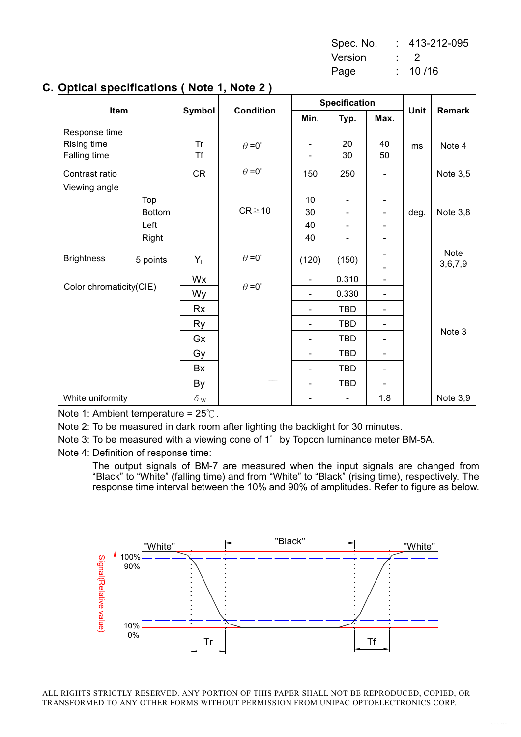| Spec. No. |    | 413-212-095    |
|-----------|----|----------------|
| Version   |    | $\overline{z}$ |
| Page      | t. | 10/16          |

| <br>Item          |                         | . <i>.</i>           | <b>Condition</b><br>Symbol | <b>Specification</b>     |            |                              |      |               |
|-------------------|-------------------------|----------------------|----------------------------|--------------------------|------------|------------------------------|------|---------------|
|                   |                         |                      |                            | Min.                     | Typ.       | Max.                         | Unit | <b>Remark</b> |
| Response time     |                         |                      |                            |                          |            |                              |      |               |
| Rising time       |                         | <b>Tr</b>            | $\theta = 0^{\circ}$       |                          | 20         | 40                           | ms   | Note 4        |
| Falling time      |                         | <b>Tf</b>            |                            |                          | 30         | 50                           |      |               |
| Contrast ratio    |                         | CR                   | $\theta = 0^{\circ}$       | 150                      | 250        | $\overline{\phantom{a}}$     |      | Note 3,5      |
| Viewing angle     |                         |                      |                            |                          |            |                              |      |               |
|                   | Top                     |                      |                            | 10                       |            |                              |      |               |
|                   | <b>Bottom</b>           |                      | $CR \ge 10$                | 30                       |            | $\blacksquare$               | deg. | Note 3,8      |
|                   | Left                    |                      |                            | 40                       |            |                              |      |               |
|                   | Right                   |                      |                            | 40                       |            |                              |      |               |
| <b>Brightness</b> | 5 points                | $Y_L$                | $\theta = 0^{\circ}$       | (120)                    | (150)      |                              |      | Note          |
|                   |                         |                      |                            |                          |            |                              |      | 3,6,7,9       |
|                   | Color chromaticity(CIE) |                      | $\theta = 0^{\circ}$       | $\overline{\phantom{0}}$ | 0.310      | $\qquad \qquad \blacksquare$ |      |               |
|                   |                         | Wy                   |                            | $\overline{\phantom{0}}$ | 0.330      | $\overline{\phantom{a}}$     |      |               |
|                   |                         | Rx                   |                            | $\overline{\phantom{0}}$ | <b>TBD</b> | $\overline{\phantom{a}}$     |      |               |
|                   |                         | <b>Ry</b>            |                            | $\overline{\phantom{0}}$ | <b>TBD</b> |                              |      |               |
|                   |                         | Gx                   |                            | $\overline{\phantom{0}}$ | <b>TBD</b> | $\blacksquare$               |      | Note 3        |
|                   |                         | Gy                   |                            | $\overline{\phantom{0}}$ | <b>TBD</b> | $\overline{\phantom{a}}$     |      |               |
|                   |                         | Bx                   |                            | $\overline{\phantom{0}}$ | <b>TBD</b> | $\overline{\phantom{a}}$     |      |               |
|                   |                         | By                   |                            |                          | <b>TBD</b> |                              |      |               |
| White uniformity  |                         | $\delta$ $_{\sf{W}}$ |                            |                          |            | 1.8                          |      | Note 3,9      |

### C. Optical specifications (Note 1, Note 2)

Note 1: Ambient temperature =  $25^{\circ}$ C.

Note 2: To be measured in dark room after lighting the backlight for 30 minutes.

Note 3: To be measured with a viewing cone of 1° by Topcon luminance meter BM-5A.

Note 4: Definition of response time:

The output signals of BM-7 are measured when the input signals are changed from "Black" to "White" (falling time) and from "White" to "Black" (rising time), respectively. The response time interval between the 10% and 90% of amplitudes. Refer to figure as below.

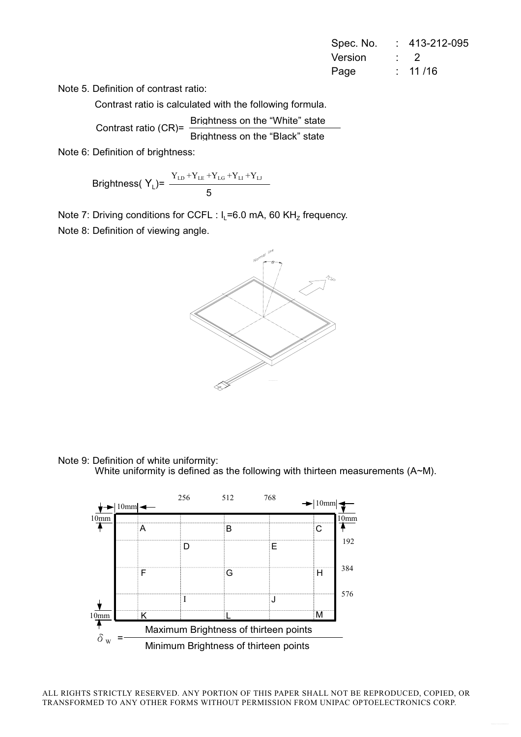| Spec. No. | 413-212-095 |
|-----------|-------------|
| Version   | $\cdot$ )   |
| Page      | : 11/16     |

Note 5. Definition of contrast ratio:

Contrast ratio is calculated with the following formula.

Brightness on the "White" state Contrast ratio (CR)=

Brightness on the "Black" state

Note 6: Definition of brightness:

$$
\text{Brightness}(\text{ Y}_{\text{L}}) = \frac{Y_{\text{LD}} + Y_{\text{LE}} + Y_{\text{LG}} + Y_{\text{LI}} + Y_{\text{LI}}}{5}
$$

Note 7: Driving conditions for CCFL :  $I_L$ =6.0 mA, 60 KH<sub>z</sub> frequency.

Note 8: Definition of viewing angle.



Note 9: Definition of white uniformity:

White uniformity is defined as the following with thirteen measurements  $(A-M)$ .

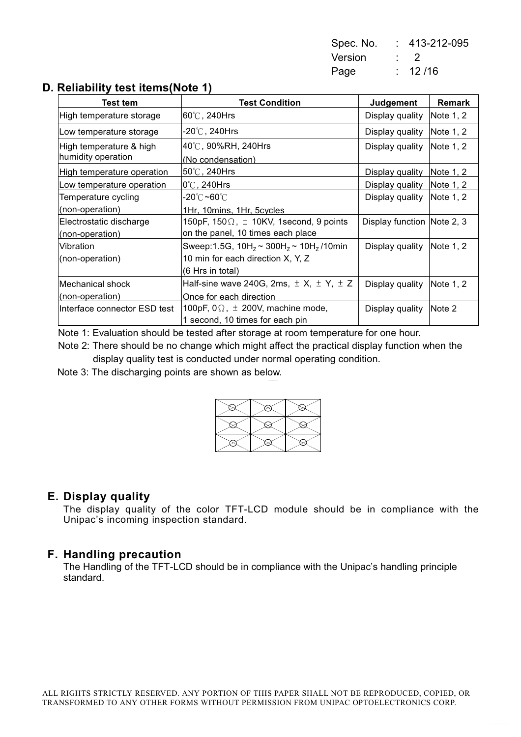| Spec. No. | 413-212-095 |
|-----------|-------------|
| Version   | $\cdot$ 2   |
| Page      | : 12/16     |

## D. Reliability test items (Note 1)

| Test tem                                      | <b>Test Condition</b>                               | Judgement                  | <b>Remark</b> |
|-----------------------------------------------|-----------------------------------------------------|----------------------------|---------------|
| High temperature storage                      | $60^{\circ}$ C, 240Hrs                              | Display quality            | Note $1, 2$   |
| Low temperature storage                       | -20℃, 240Hrs                                        | Display quality            | Note 1, 2     |
| High temperature & high<br>humidity operation | 40℃, 90%RH, 240Hrs<br>(No condensation)             | Display quality            | Note $1, 2$   |
| High temperature operation                    | $50^{\circ}$ C, 240Hrs                              | Display quality            | Note $1, 2$   |
| Low temperature operation                     | l0℃, 240Hrs                                         | Display quality            | Note 1, 2     |
| Temperature cycling                           | -20℃ <b>~60</b> ℃                                   | Display quality            | Note $1, 2$   |
| (non-operation)                               | 1Hr, 10mins, 1Hr, 5cycles                           |                            |               |
| Electrostatic discharge                       | 150pF, 150 $\Omega$ , $\pm$ 10KV, 1second, 9 points | Display function Note 2, 3 |               |
| (non-operation)                               | on the panel, 10 times each place                   |                            |               |
| Vibration                                     | Sweep:1.5G, $10H_z \sim 300H_z \sim 10H_z/10$ min   | Display quality            | Note $1, 2$   |
| (non-operation)                               | 10 min for each direction X, Y, Z                   |                            |               |
|                                               | (6 Hrs in total)                                    |                            |               |
| lMechanical shock                             | Half-sine wave 240G, 2ms, $\pm$ X, $\pm$ Y, $\pm$ Z | Display quality            | Note 1, 2     |
| (non-operation)                               | Once for each direction                             |                            |               |
| Interface connector ESD test                  | 100pF, $0\Omega$ , $\pm$ 200V, machine mode,        | Display quality            | Note 2        |
|                                               | 1 second, 10 times for each pin                     |                            |               |

Note 1: Evaluation should be tested after storage at room temperature for one hour.

Note 2: There should be no change which might affect the practical display function when the display quality test is conducted under normal operating condition.

Note 3: The discharging points are shown as below.

### E. Display quality

The display quality of the color TFT-LCD module should be in compliance with the Unipac's incoming inspection standard.

### F. Handling precaution

The Handling of the TFT-LCD should be in compliance with the Unipac's handling principle standard.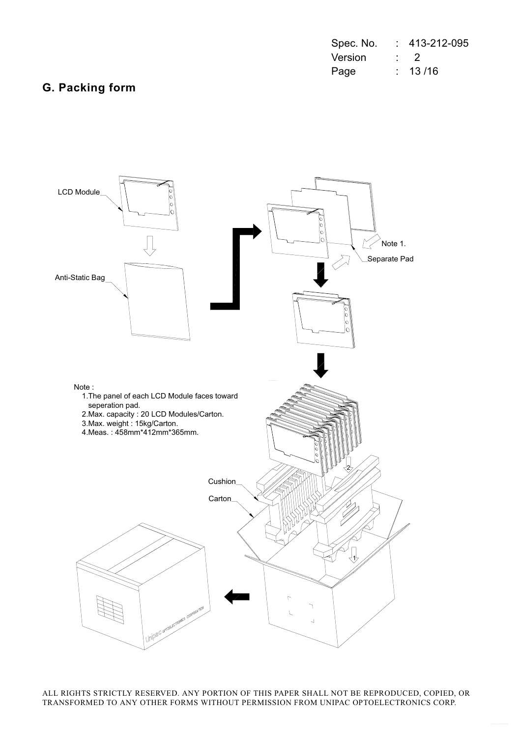| Spec. No. | 413-212-095 |
|-----------|-------------|
| Version   | $\cdot$ 2   |
| Page      | : 13/16     |

# **G. Packing form**

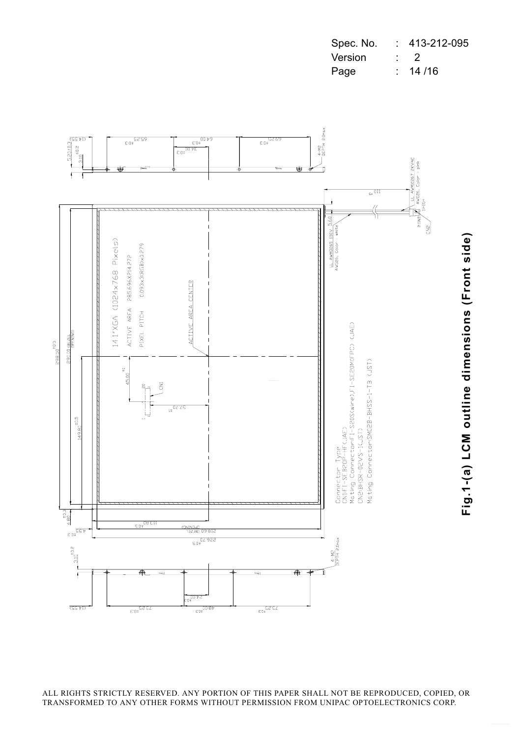| Spec. No. | 413-212-095 |
|-----------|-------------|
| Version   | . 2         |
| Page      | : 14/16     |



ALL RIGHTS STRICTLY RESERVED. ANY PORTION OF THIS PAPER SHALL NOT BE REPRODUCED, COPIED, OR TRANSFORMED TO ANY OTHER FORMS WITHOUT PERMISSION FROM UNIPAC OPTOELECTRONICS CORP.

# Fig.1-(a) LCM outline dimensions (Front side)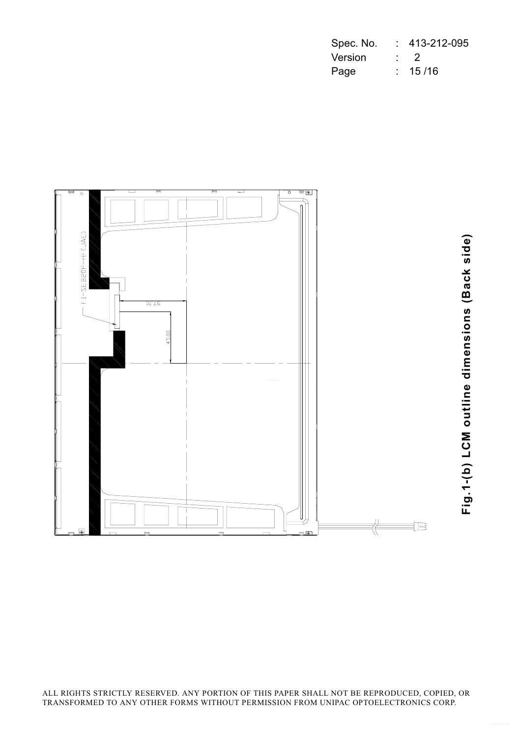| Spec. No. | 413-212-095 |
|-----------|-------------|
| Version   | $\cdot$ 2   |
| Page      | : 15/16     |



Fig.1-(b) LCM outline dimensions (Back side)